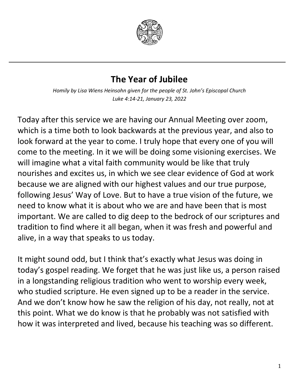

## **The Year of Jubilee**

*Homily by Lisa Wiens Heinsohn given for the people of St. John's Episcopal Church Luke 4:14-21, January 23, 2022*

Today after this service we are having our Annual Meeting over zoom, which is a time both to look backwards at the previous year, and also to look forward at the year to come. I truly hope that every one of you will come to the meeting. In it we will be doing some visioning exercises. We will imagine what a vital faith community would be like that truly nourishes and excites us, in which we see clear evidence of God at work because we are aligned with our highest values and our true purpose, following Jesus' Way of Love. But to have a true vision of the future, we need to know what it is about who we are and have been that is most important. We are called to dig deep to the bedrock of our scriptures and tradition to find where it all began, when it was fresh and powerful and alive, in a way that speaks to us today.

It might sound odd, but I think that's exactly what Jesus was doing in today's gospel reading. We forget that he was just like us, a person raised in a longstanding religious tradition who went to worship every week, who studied scripture. He even signed up to be a reader in the service. And we don't know how he saw the religion of his day, not really, not at this point. What we do know is that he probably was not satisfied with how it was interpreted and lived, because his teaching was so different.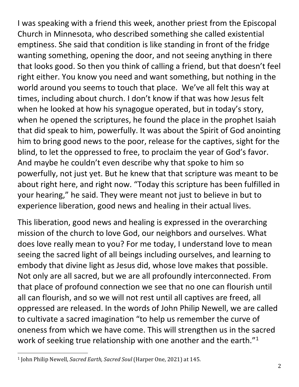I was speaking with a friend this week, another priest from the Episcopal Church in Minnesota, who described something she called existential emptiness. She said that condition is like standing in front of the fridge wanting something, opening the door, and not seeing anything in there that looks good. So then you think of calling a friend, but that doesn't feel right either. You know you need and want something, but nothing in the world around you seems to touch that place. We've all felt this way at times, including about church. I don't know if that was how Jesus felt when he looked at how his synagogue operated, but in today's story, when he opened the scriptures, he found the place in the prophet Isaiah that did speak to him, powerfully. It was about the Spirit of God anointing him to bring good news to the poor, release for the captives, sight for the blind, to let the oppressed to free, to proclaim the year of God's favor. And maybe he couldn't even describe why that spoke to him so powerfully, not just yet. But he knew that that scripture was meant to be about right here, and right now. "Today this scripture has been fulfilled in your hearing," he said. They were meant not just to believe in but to experience liberation, good news and healing in their actual lives.

This liberation, good news and healing is expressed in the overarching mission of the church to love God, our neighbors and ourselves. What does love really mean to you? For me today, I understand love to mean seeing the sacred light of all beings including ourselves, and learning to embody that divine light as Jesus did, whose love makes that possible. Not only are all sacred, but we are all profoundly interconnected. From that place of profound connection we see that no one can flourish until all can flourish, and so we will not rest until all captives are freed, all oppressed are released. In the words of John Philip Newell, we are called to cultivate a sacred imagination "to help us remember the curve of oneness from which we have come. This will strengthen us in the sacred work of seeking true relationship with one another and the earth."<sup>[1](#page-1-0)</sup>

<span id="page-1-0"></span> <sup>1</sup> John Philip Newell, *Sacred Earth, Sacred Soul* (Harper One, 2021) at 145.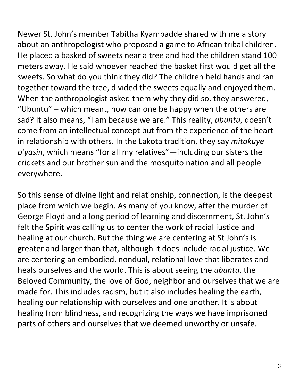Newer St. John's member Tabitha Kyambadde shared with me a story about an anthropologist who proposed a game to African tribal children. He placed a basked of sweets near a tree and had the children stand 100 meters away. He said whoever reached the basket first would get all the sweets. So what do you think they did? The children held hands and ran together toward the tree, divided the sweets equally and enjoyed them. When the anthropologist asked them why they did so, they answered, "Ubuntu" – which meant, how can one be happy when the others are sad? It also means, "I am because we are." This reality, *ubuntu*, doesn't come from an intellectual concept but from the experience of the heart in relationship with others. In the Lakota tradition, they say *mitakuye o'yasin*, which means "for all my relatives"—including our sisters the crickets and our brother sun and the mosquito nation and all people everywhere.

So this sense of divine light and relationship, connection, is the deepest place from which we begin. As many of you know, after the murder of George Floyd and a long period of learning and discernment, St. John's felt the Spirit was calling us to center the work of racial justice and healing at our church. But the thing we are centering at St John's is greater and larger than that, although it does include racial justice. We are centering an embodied, nondual, relational love that liberates and heals ourselves and the world. This is about seeing the *ubuntu*, the Beloved Community, the love of God, neighbor and ourselves that we are made for. This includes racism, but it also includes healing the earth, healing our relationship with ourselves and one another. It is about healing from blindness, and recognizing the ways we have imprisoned parts of others and ourselves that we deemed unworthy or unsafe.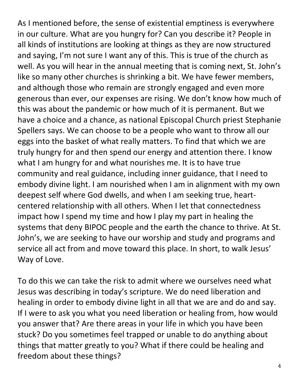As I mentioned before, the sense of existential emptiness is everywhere in our culture. What are you hungry for? Can you describe it? People in all kinds of institutions are looking at things as they are now structured and saying, I'm not sure I want any of this. This is true of the church as well. As you will hear in the annual meeting that is coming next, St. John's like so many other churches is shrinking a bit. We have fewer members, and although those who remain are strongly engaged and even more generous than ever, our expenses are rising. We don't know how much of this was about the pandemic or how much of it is permanent. But we have a choice and a chance, as national Episcopal Church priest Stephanie Spellers says. We can choose to be a people who want to throw all our eggs into the basket of what really matters. To find that which we are truly hungry for and then spend our energy and attention there. I know what I am hungry for and what nourishes me. It is to have true community and real guidance, including inner guidance, that I need to embody divine light. I am nourished when I am in alignment with my own deepest self where God dwells, and when I am seeking true, heartcentered relationship with all others. When I let that connectedness impact how I spend my time and how I play my part in healing the systems that deny BIPOC people and the earth the chance to thrive. At St. John's, we are seeking to have our worship and study and programs and service all act from and move toward this place. In short, to walk Jesus' Way of Love.

To do this we can take the risk to admit where we ourselves need what Jesus was describing in today's scripture. We do need liberation and healing in order to embody divine light in all that we are and do and say. If I were to ask you what you need liberation or healing from, how would you answer that? Are there areas in your life in which you have been stuck? Do you sometimes feel trapped or unable to do anything about things that matter greatly to you? What if there could be healing and freedom about these things?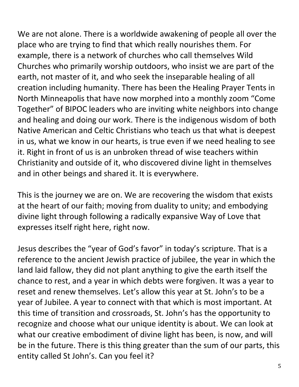We are not alone. There is a worldwide awakening of people all over the place who are trying to find that which really nourishes them. For example, there is a network of churches who call themselves Wild Churches who primarily worship outdoors, who insist we are part of the earth, not master of it, and who seek the inseparable healing of all creation including humanity. There has been the Healing Prayer Tents in North Minneapolis that have now morphed into a monthly zoom "Come Together" of BIPOC leaders who are inviting white neighbors into change and healing and doing our work. There is the indigenous wisdom of both Native American and Celtic Christians who teach us that what is deepest in us, what we know in our hearts, is true even if we need healing to see it. Right in front of us is an unbroken thread of wise teachers within Christianity and outside of it, who discovered divine light in themselves and in other beings and shared it. It is everywhere.

This is the journey we are on. We are recovering the wisdom that exists at the heart of our faith; moving from duality to unity; and embodying divine light through following a radically expansive Way of Love that expresses itself right here, right now.

Jesus describes the "year of God's favor" in today's scripture. That is a reference to the ancient Jewish practice of jubilee, the year in which the land laid fallow, they did not plant anything to give the earth itself the chance to rest, and a year in which debts were forgiven. It was a year to reset and renew themselves. Let's allow this year at St. John's to be a year of Jubilee. A year to connect with that which is most important. At this time of transition and crossroads, St. John's has the opportunity to recognize and choose what our unique identity is about. We can look at what our creative embodiment of divine light has been, is now, and will be in the future. There is this thing greater than the sum of our parts, this entity called St John's. Can you feel it?